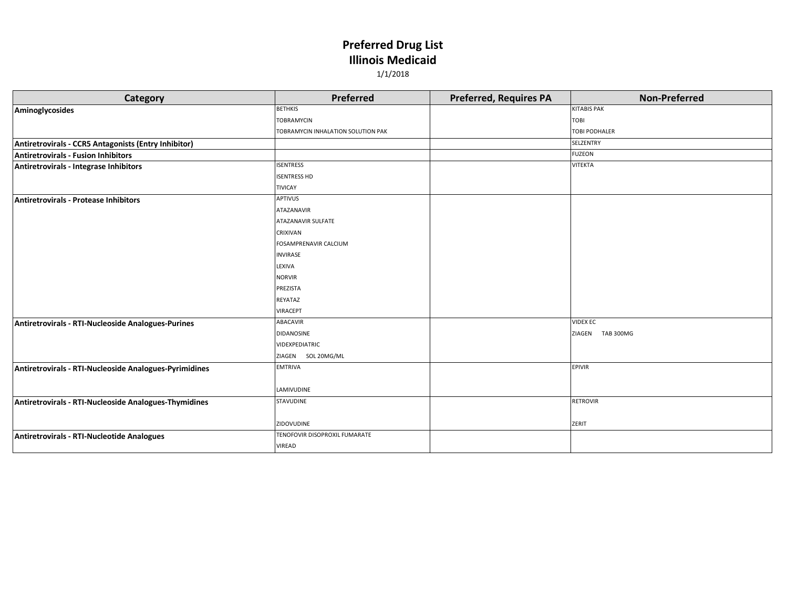| Category                                               | Preferred                          | <b>Preferred, Requires PA</b> | <b>Non-Preferred</b> |
|--------------------------------------------------------|------------------------------------|-------------------------------|----------------------|
| Aminoglycosides                                        | <b>BETHKIS</b>                     |                               | <b>KITABIS PAK</b>   |
|                                                        | <b>TOBRAMYCIN</b>                  |                               | <b>TOBI</b>          |
|                                                        | TOBRAMYCIN INHALATION SOLUTION PAK |                               | <b>TOBI PODHALER</b> |
| Antiretrovirals - CCR5 Antagonists (Entry Inhibitor)   |                                    |                               | <b>SELZENTRY</b>     |
| <b>Antiretrovirals - Fusion Inhibitors</b>             |                                    |                               | <b>FUZEON</b>        |
| Antiretrovirals - Integrase Inhibitors                 | <b>ISENTRESS</b>                   |                               | <b>VITEKTA</b>       |
|                                                        | <b>ISENTRESS HD</b>                |                               |                      |
|                                                        | <b>TIVICAY</b>                     |                               |                      |
| <b>Antiretrovirals - Protease Inhibitors</b>           | <b>APTIVUS</b>                     |                               |                      |
|                                                        | <b>ATAZANAVIR</b>                  |                               |                      |
|                                                        | <b>ATAZANAVIR SULFATE</b>          |                               |                      |
|                                                        | <b>CRIXIVAN</b>                    |                               |                      |
|                                                        | FOSAMPRENAVIR CALCIUM              |                               |                      |
|                                                        | <b>INVIRASE</b>                    |                               |                      |
|                                                        | LEXIVA                             |                               |                      |
|                                                        | <b>NORVIR</b>                      |                               |                      |
|                                                        | PREZISTA                           |                               |                      |
|                                                        | REYATAZ                            |                               |                      |
|                                                        | <b>VIRACEPT</b>                    |                               |                      |
| Antiretrovirals - RTI-Nucleoside Analogues-Purines     | ABACAVIR                           |                               | <b>VIDEX EC</b>      |
|                                                        | <b>DIDANOSINE</b>                  |                               | ZIAGEN TAB 300MG     |
|                                                        | VIDEXPEDIATRIC                     |                               |                      |
|                                                        | ZIAGEN SOL 20MG/ML                 |                               |                      |
| Antiretrovirals - RTI-Nucleoside Analogues-Pyrimidines | <b>EMTRIVA</b>                     |                               | <b>EPIVIR</b>        |
|                                                        |                                    |                               |                      |
|                                                        | LAMIVUDINE                         |                               |                      |
| Antiretrovirals - RTI-Nucleoside Analogues-Thymidines  | STAVUDINE                          |                               | <b>RETROVIR</b>      |
|                                                        |                                    |                               |                      |
|                                                        | ZIDOVUDINE                         |                               | ZERIT                |
| Antiretrovirals - RTI-Nucleotide Analogues             | TENOFOVIR DISOPROXIL FUMARATE      |                               |                      |
|                                                        | <b>VIREAD</b>                      |                               |                      |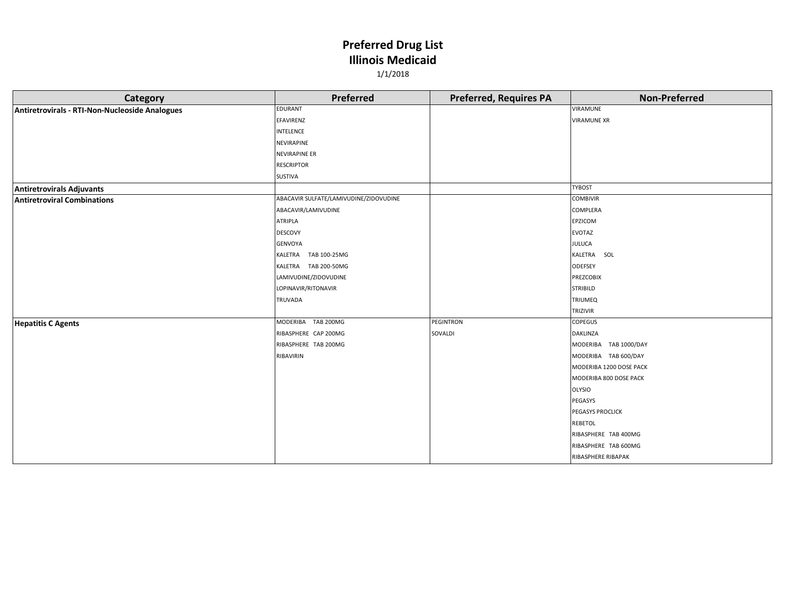| Category                                       | Preferred                              | <b>Preferred, Requires PA</b> | <b>Non-Preferred</b>    |
|------------------------------------------------|----------------------------------------|-------------------------------|-------------------------|
| Antiretrovirals - RTI-Non-Nucleoside Analogues | <b>EDURANT</b>                         |                               | VIRAMUNE                |
|                                                | EFAVIRENZ                              |                               | <b>VIRAMUNE XR</b>      |
|                                                | <b>INTELENCE</b>                       |                               |                         |
|                                                | <b>NEVIRAPINE</b>                      |                               |                         |
|                                                | <b>NEVIRAPINE ER</b>                   |                               |                         |
|                                                | <b>RESCRIPTOR</b>                      |                               |                         |
|                                                | SUSTIVA                                |                               |                         |
| <b>Antiretrovirals Adjuvants</b>               |                                        |                               | <b>TYBOST</b>           |
| <b>Antiretroviral Combinations</b>             | ABACAVIR SULFATE/LAMIVUDINE/ZIDOVUDINE |                               | <b>COMBIVIR</b>         |
|                                                | ABACAVIR/LAMIVUDINE                    |                               | COMPLERA                |
|                                                | <b>ATRIPLA</b>                         |                               | EPZICOM                 |
|                                                | <b>DESCOVY</b>                         |                               | <b>EVOTAZ</b>           |
|                                                | GENVOYA                                |                               | <b>JULUCA</b>           |
|                                                | KALETRA TAB 100-25MG                   |                               | KALETRA SOL             |
|                                                | KALETRA TAB 200-50MG                   |                               | <b>ODEFSEY</b>          |
|                                                | LAMIVUDINE/ZIDOVUDINE                  |                               | <b>PREZCOBIX</b>        |
|                                                | LOPINAVIR/RITONAVIR                    |                               | <b>STRIBILD</b>         |
|                                                | TRUVADA                                |                               | <b>TRIUMEQ</b>          |
|                                                |                                        |                               | TRIZIVIR                |
| <b>Hepatitis C Agents</b>                      | MODERIBA TAB 200MG                     | PEGINTRON                     | <b>COPEGUS</b>          |
|                                                | RIBASPHERE CAP 200MG                   | SOVALDI                       | <b>DAKLINZA</b>         |
|                                                | RIBASPHERE TAB 200MG                   |                               | MODERIBA TAB 1000/DAY   |
|                                                | RIBAVIRIN                              |                               | MODERIBA TAB 600/DAY    |
|                                                |                                        |                               | MODERIBA 1200 DOSE PACK |
|                                                |                                        |                               | MODERIBA 800 DOSE PACK  |
|                                                |                                        |                               | <b>OLYSIO</b>           |
|                                                |                                        |                               | PEGASYS                 |
|                                                |                                        |                               | PEGASYS PROCLICK        |
|                                                |                                        |                               | REBETOL                 |
|                                                |                                        |                               | RIBASPHERE TAB 400MG    |
|                                                |                                        |                               | RIBASPHERE TAB 600MG    |
|                                                |                                        |                               | RIBASPHERE RIBAPAK      |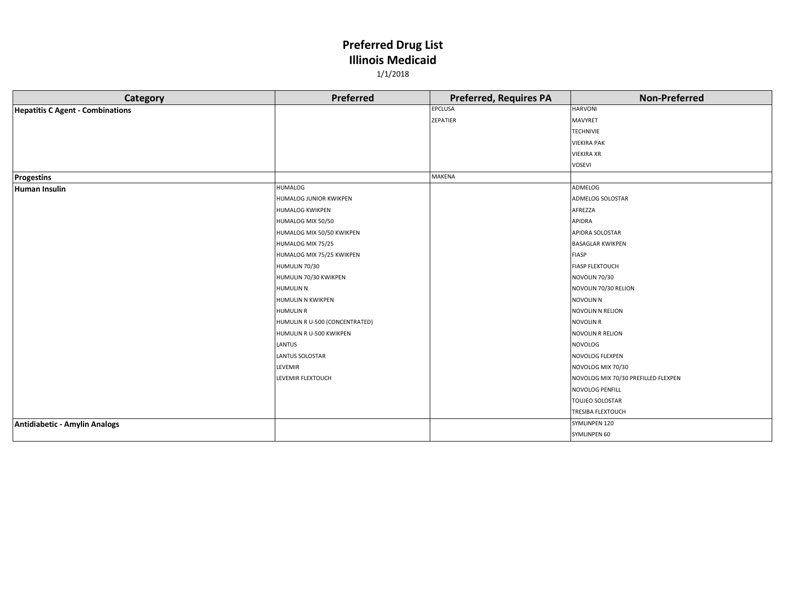| Category                                | Preferred                      | <b>Preferred, Requires PA</b> | <b>Non-Preferred</b>                |
|-----------------------------------------|--------------------------------|-------------------------------|-------------------------------------|
| <b>Hepatitis C Agent - Combinations</b> |                                | EPCLUSA                       | <b>HARVONI</b>                      |
|                                         |                                | ZEPATIER                      | <b>MAVYRET</b>                      |
|                                         |                                |                               | <b>TECHNIVIE</b>                    |
|                                         |                                |                               | <b>VIEKIRA PAK</b>                  |
|                                         |                                |                               | <b>VIEKIRA XR</b>                   |
|                                         |                                |                               | <b>VOSEVI</b>                       |
| <b>Progestins</b>                       |                                | MAKENA                        |                                     |
| <b>Human Insulin</b>                    | <b>HUMALOG</b>                 |                               | ADMELOG                             |
|                                         | HUMALOG JUNIOR KWIKPEN         |                               | ADMELOG SOLOSTAR                    |
|                                         | <b>HUMALOG KWIKPEN</b>         |                               | AFREZZA                             |
|                                         | HUMALOG MIX 50/50              |                               | APIDRA                              |
|                                         | HUMALOG MIX 50/50 KWIKPEN      |                               | APIDRA SOLOSTAR                     |
|                                         | HUMALOG MIX 75/25              |                               | <b>BASAGLAR KWIKPEN</b>             |
|                                         | HUMALOG MIX 75/25 KWIKPEN      |                               | <b>FIASP</b>                        |
|                                         | HUMULIN 70/30                  |                               | <b>FIASP FLEXTOUCH</b>              |
|                                         | HUMULIN 70/30 KWIKPEN          |                               | NOVOLIN 70/30                       |
|                                         | <b>HUMULIN N</b>               |                               | NOVOLIN 70/30 RELION                |
|                                         | <b>HUMULIN N KWIKPEN</b>       |                               | <b>NOVOLIN N</b>                    |
|                                         | <b>HUMULIN R</b>               |                               | NOVOLIN N RELION                    |
|                                         | HUMULIN R U-500 (CONCENTRATED) |                               | <b>NOVOLIN R</b>                    |
|                                         | HUMULIN R U-500 KWIKPEN        |                               | <b>NOVOLIN R RELION</b>             |
|                                         | LANTUS                         |                               | <b>NOVOLOG</b>                      |
|                                         | <b>LANTUS SOLOSTAR</b>         |                               | NOVOLOG FLEXPEN                     |
|                                         | LEVEMIR                        |                               | NOVOLOG MIX 70/30                   |
|                                         | LEVEMIR FLEXTOUCH              |                               | NOVOLOG MIX 70/30 PREFILLED FLEXPEN |
|                                         |                                |                               | NOVOLOG PENFILL                     |
|                                         |                                |                               | TOUJEO SOLOSTAR                     |
|                                         |                                |                               | <b>TRESIBA FLEXTOUCH</b>            |
| Antidiabetic - Amylin Analogs           |                                |                               | SYMLINPEN 120                       |
|                                         |                                |                               | SYMLINPEN 60                        |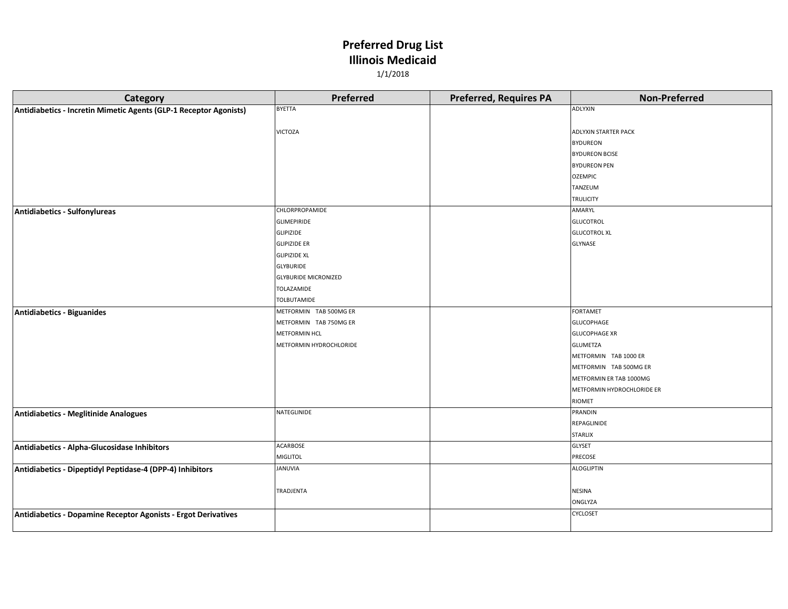| Category                                                          | Preferred                   | <b>Preferred, Requires PA</b> | <b>Non-Preferred</b>       |
|-------------------------------------------------------------------|-----------------------------|-------------------------------|----------------------------|
| Antidiabetics - Incretin Mimetic Agents (GLP-1 Receptor Agonists) | <b>BYETTA</b>               |                               | ADLYXIN                    |
|                                                                   |                             |                               |                            |
|                                                                   | <b>VICTOZA</b>              |                               | ADLYXIN STARTER PACK       |
|                                                                   |                             |                               | <b>BYDUREON</b>            |
|                                                                   |                             |                               | <b>BYDUREON BCISE</b>      |
|                                                                   |                             |                               | <b>BYDUREON PEN</b>        |
|                                                                   |                             |                               | <b>OZEMPIC</b>             |
|                                                                   |                             |                               | TANZEUM                    |
|                                                                   |                             |                               | <b>TRULICITY</b>           |
| Antidiabetics - Sulfonylureas                                     | CHLORPROPAMIDE              |                               | AMARYL                     |
|                                                                   | GLIMEPIRIDE                 |                               | <b>GLUCOTROL</b>           |
|                                                                   | <b>GLIPIZIDE</b>            |                               | <b>GLUCOTROL XL</b>        |
|                                                                   | <b>GLIPIZIDE ER</b>         |                               | GLYNASE                    |
|                                                                   | <b>GLIPIZIDE XL</b>         |                               |                            |
|                                                                   | <b>GLYBURIDE</b>            |                               |                            |
|                                                                   | <b>GLYBURIDE MICRONIZED</b> |                               |                            |
|                                                                   | TOLAZAMIDE                  |                               |                            |
|                                                                   | TOLBUTAMIDE                 |                               |                            |
| Antidiabetics - Biguanides                                        | METFORMIN TAB 500MG ER      |                               | <b>FORTAMET</b>            |
|                                                                   | METFORMIN TAB 750MG ER      |                               | <b>GLUCOPHAGE</b>          |
|                                                                   | METFORMIN HCL               |                               | <b>GLUCOPHAGE XR</b>       |
|                                                                   | METFORMIN HYDROCHLORIDE     |                               | <b>GLUMETZA</b>            |
|                                                                   |                             |                               | METFORMIN TAB 1000 ER      |
|                                                                   |                             |                               | METFORMIN TAB 500MG ER     |
|                                                                   |                             |                               | METFORMIN ER TAB 1000MG    |
|                                                                   |                             |                               | METFORMIN HYDROCHLORIDE ER |
|                                                                   |                             |                               | RIOMET                     |
| <b>Antidiabetics - Meglitinide Analogues</b>                      | NATEGLINIDE                 |                               | PRANDIN                    |
|                                                                   |                             |                               | REPAGLINIDE                |
|                                                                   |                             |                               | <b>STARLIX</b>             |
| Antidiabetics - Alpha-Glucosidase Inhibitors                      | ACARBOSE                    |                               | GLYSET                     |
|                                                                   | MIGLITOL                    |                               | PRECOSE                    |
| Antidiabetics - Dipeptidyl Peptidase-4 (DPP-4) Inhibitors         | <b>JANUVIA</b>              |                               | <b>ALOGLIPTIN</b>          |
|                                                                   |                             |                               |                            |
|                                                                   | TRADJENTA                   |                               | <b>NESINA</b>              |
|                                                                   |                             |                               | ONGLYZA                    |
| Antidiabetics - Dopamine Receptor Agonists - Ergot Derivatives    |                             |                               | CYCLOSET                   |
|                                                                   |                             |                               |                            |
|                                                                   |                             |                               |                            |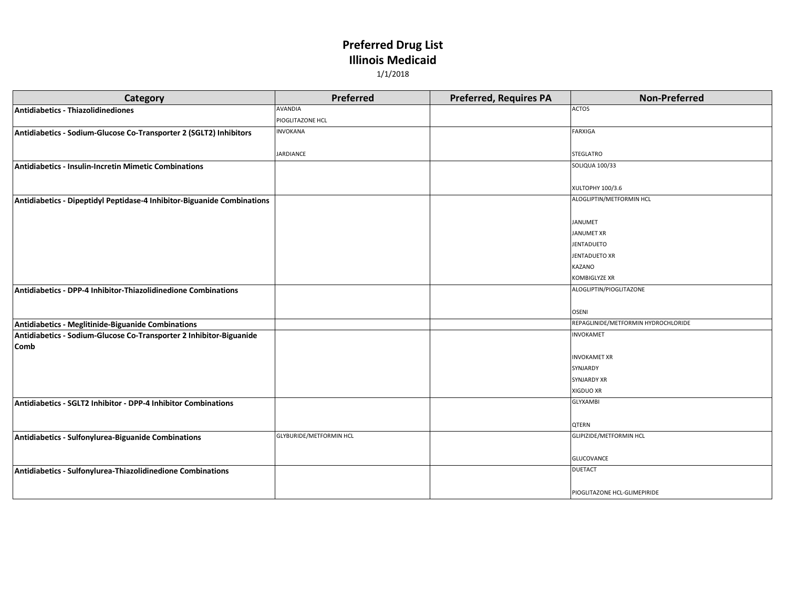| Category                                                                | Preferred                      | <b>Preferred, Requires PA</b> | <b>Non-Preferred</b>                |
|-------------------------------------------------------------------------|--------------------------------|-------------------------------|-------------------------------------|
| Antidiabetics - Thiazolidinediones                                      | AVANDIA                        |                               | <b>ACTOS</b>                        |
|                                                                         | PIOGLITAZONE HCL               |                               |                                     |
| Antidiabetics - Sodium-Glucose Co-Transporter 2 (SGLT2) Inhibitors      | <b>INVOKANA</b>                |                               | <b>FARXIGA</b>                      |
|                                                                         |                                |                               |                                     |
|                                                                         | JARDIANCE                      |                               | <b>STEGLATRO</b>                    |
| <b>Antidiabetics - Insulin-Incretin Mimetic Combinations</b>            |                                |                               | <b>SOLIQUA 100/33</b>               |
|                                                                         |                                |                               |                                     |
|                                                                         |                                |                               | XULTOPHY 100/3.6                    |
| Antidiabetics - Dipeptidyl Peptidase-4 Inhibitor-Biguanide Combinations |                                |                               | ALOGLIPTIN/METFORMIN HCL            |
|                                                                         |                                |                               |                                     |
|                                                                         |                                |                               | <b>JANUMET</b>                      |
|                                                                         |                                |                               | <b>JANUMET XR</b>                   |
|                                                                         |                                |                               | <b>JENTADUETO</b>                   |
|                                                                         |                                |                               | <b>JENTADUETO XR</b>                |
|                                                                         |                                |                               | KAZANO                              |
|                                                                         |                                |                               | KOMBIGLYZE XR                       |
| Antidiabetics - DPP-4 Inhibitor-Thiazolidinedione Combinations          |                                |                               | ALOGLIPTIN/PIOGLITAZONE             |
|                                                                         |                                |                               |                                     |
|                                                                         |                                |                               | <b>OSENI</b>                        |
| Antidiabetics - Meglitinide-Biguanide Combinations                      |                                |                               | REPAGLINIDE/METFORMIN HYDROCHLORIDE |
| Antidiabetics - Sodium-Glucose Co-Transporter 2 Inhibitor-Biguanide     |                                |                               | <b>INVOKAMET</b>                    |
| <b>Comb</b>                                                             |                                |                               |                                     |
|                                                                         |                                |                               | <b>INVOKAMET XR</b>                 |
|                                                                         |                                |                               | SYNJARDY                            |
|                                                                         |                                |                               | SYNJARDY XR                         |
|                                                                         |                                |                               | XIGDUO XR                           |
| Antidiabetics - SGLT2 Inhibitor - DPP-4 Inhibitor Combinations          |                                |                               | <b>GLYXAMBI</b>                     |
|                                                                         |                                |                               |                                     |
|                                                                         |                                |                               | QTERN                               |
| Antidiabetics - Sulfonylurea-Biguanide Combinations                     | <b>GLYBURIDE/METFORMIN HCL</b> |                               | <b>GLIPIZIDE/METFORMIN HCL</b>      |
|                                                                         |                                |                               |                                     |
|                                                                         |                                |                               | GLUCOVANCE<br><b>DUETACT</b>        |
| Antidiabetics - Sulfonylurea-Thiazolidinedione Combinations             |                                |                               |                                     |
|                                                                         |                                |                               |                                     |
|                                                                         |                                |                               | PIOGLITAZONE HCL-GLIMEPIRIDE        |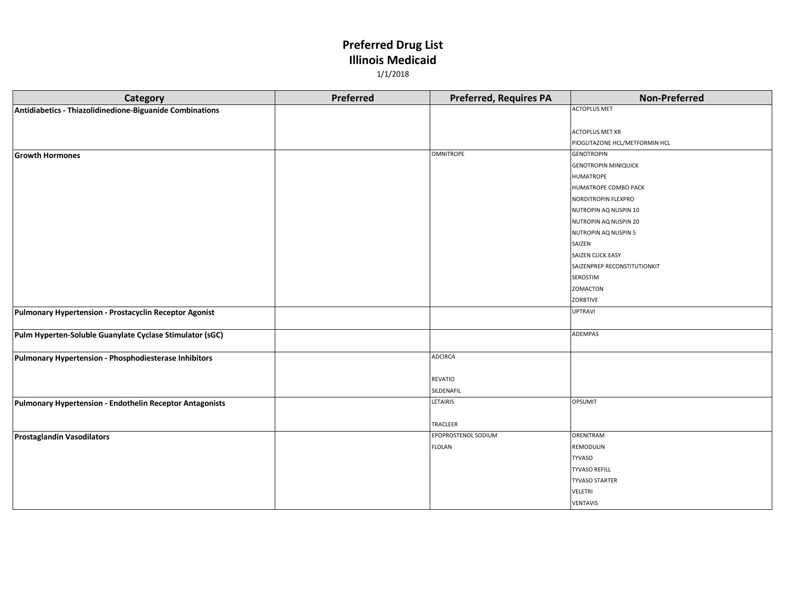| Category                                                 | Preferred | <b>Preferred, Requires PA</b> | <b>Non-Preferred</b>           |
|----------------------------------------------------------|-----------|-------------------------------|--------------------------------|
| Antidiabetics - Thiazolidinedione-Biguanide Combinations |           |                               | <b>ACTOPLUS MET</b>            |
|                                                          |           |                               |                                |
|                                                          |           |                               | <b>ACTOPLUS MET XR</b>         |
|                                                          |           |                               | PIOGLITAZONE HCL/METFORMIN HCL |
| <b>Growth Hormones</b>                                   |           | <b>OMNITROPE</b>              | <b>GENOTROPIN</b>              |
|                                                          |           |                               | <b>GENOTROPIN MINIQUICK</b>    |
|                                                          |           |                               | HUMATROPE                      |
|                                                          |           |                               | HUMATROPE COMBO PACK           |
|                                                          |           |                               | NORDITROPIN FLEXPRO            |
|                                                          |           |                               | NUTROPIN AQ NUSPIN 10          |
|                                                          |           |                               | NUTROPIN AQ NUSPIN 20          |
|                                                          |           |                               | NUTROPIN AQ NUSPIN 5           |
|                                                          |           |                               | SAIZEN                         |
|                                                          |           |                               | SAIZEN CLICK.EASY              |
|                                                          |           |                               | SAIZENPREP RECONSTITUTIONKIT   |
|                                                          |           |                               | SEROSTIM                       |
|                                                          |           |                               | <b>ZOMACTON</b>                |
|                                                          |           |                               | ZORBTIVE                       |
| Pulmonary Hypertension - Prostacyclin Receptor Agonist   |           |                               | <b>UPTRAVI</b>                 |
|                                                          |           |                               |                                |
| Pulm Hyperten-Soluble Guanylate Cyclase Stimulator (sGC) |           |                               | ADEMPAS                        |
|                                                          |           |                               |                                |
| Pulmonary Hypertension - Phosphodiesterase Inhibitors    |           | <b>ADCIRCA</b>                |                                |
|                                                          |           |                               |                                |
|                                                          |           | REVATIO                       |                                |
|                                                          |           | SILDENAFIL                    |                                |
| Pulmonary Hypertension - Endothelin Receptor Antagonists |           | LETAIRIS                      | <b>OPSUMIT</b>                 |
|                                                          |           |                               |                                |
|                                                          |           | TRACLEER                      |                                |
| <b>Prostaglandin Vasodilators</b>                        |           | EPOPROSTENOL SODIUM           | <b>ORENITRAM</b>               |
|                                                          |           | <b>FLOLAN</b>                 | REMODULIN                      |
|                                                          |           |                               | <b>TYVASO</b>                  |
|                                                          |           |                               | <b>TYVASO REFILL</b>           |
|                                                          |           |                               | <b>TYVASO STARTER</b>          |
|                                                          |           |                               | VELETRI                        |
|                                                          |           |                               | VENTAVIS                       |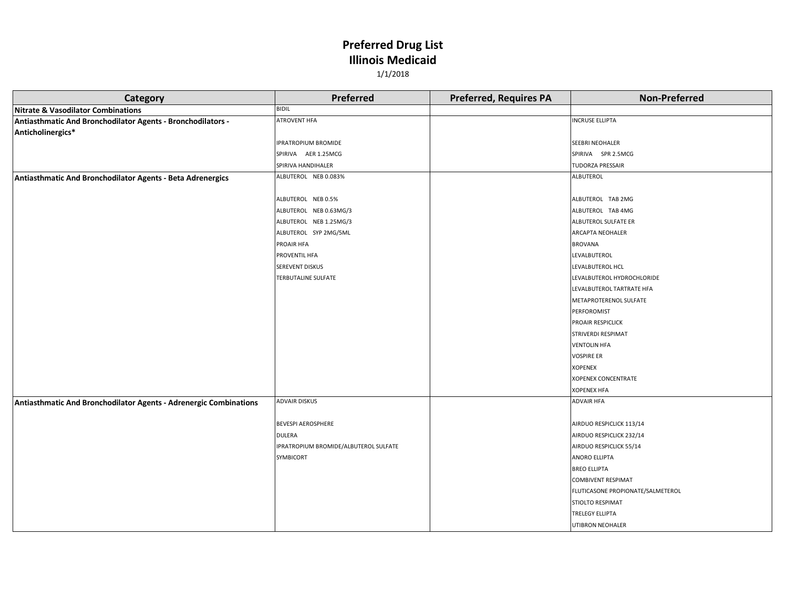| Category                                                          | Preferred                             | <b>Preferred, Requires PA</b> | <b>Non-Preferred</b>              |
|-------------------------------------------------------------------|---------------------------------------|-------------------------------|-----------------------------------|
| <b>Nitrate &amp; Vasodilator Combinations</b>                     | <b>BIDIL</b>                          |                               |                                   |
| Antiasthmatic And Bronchodilator Agents - Bronchodilators -       | ATROVENT HFA                          |                               | <b>INCRUSE ELLIPTA</b>            |
| Anticholinergics*                                                 |                                       |                               |                                   |
|                                                                   | <b>IPRATROPIUM BROMIDE</b>            |                               | <b>SEEBRI NEOHALER</b>            |
|                                                                   | SPIRIVA AER 1.25MCG                   |                               | SPIRIVA SPR 2.5MCG                |
|                                                                   | SPIRIVA HANDIHALER                    |                               | <b>TUDORZA PRESSAIR</b>           |
| Antiasthmatic And Bronchodilator Agents - Beta Adrenergics        | ALBUTEROL NEB 0.083%                  |                               | <b>ALBUTEROL</b>                  |
|                                                                   |                                       |                               |                                   |
|                                                                   | ALBUTEROL NEB 0.5%                    |                               | ALBUTEROL TAB 2MG                 |
|                                                                   | ALBUTEROL NEB 0.63MG/3                |                               | ALBUTEROL TAB 4MG                 |
|                                                                   | ALBUTEROL NEB 1.25MG/3                |                               | ALBUTEROL SULFATE ER              |
|                                                                   | ALBUTEROL SYP 2MG/5ML                 |                               | <b>ARCAPTA NEOHALER</b>           |
|                                                                   | PROAIR HFA                            |                               | <b>BROVANA</b>                    |
|                                                                   | PROVENTIL HFA                         |                               | LEVALBUTEROL                      |
|                                                                   | SEREVENT DISKUS                       |                               | LEVALBUTEROL HCL                  |
|                                                                   | <b>TERBUTALINE SULFATE</b>            |                               | LEVALBUTEROL HYDROCHLORIDE        |
|                                                                   |                                       |                               | LEVALBUTEROL TARTRATE HFA         |
|                                                                   |                                       |                               | METAPROTERENOL SULFATE            |
|                                                                   |                                       |                               | PERFOROMIST                       |
|                                                                   |                                       |                               | PROAIR RESPICLICK                 |
|                                                                   |                                       |                               | STRIVERDI RESPIMAT                |
|                                                                   |                                       |                               | <b>VENTOLIN HFA</b>               |
|                                                                   |                                       |                               | <b>VOSPIRE ER</b>                 |
|                                                                   |                                       |                               | <b>XOPENEX</b>                    |
|                                                                   |                                       |                               | <b>XOPENEX CONCENTRATE</b>        |
|                                                                   |                                       |                               | <b>XOPENEX HFA</b>                |
| Antiasthmatic And Bronchodilator Agents - Adrenergic Combinations | <b>ADVAIR DISKUS</b>                  |                               | <b>ADVAIR HFA</b>                 |
|                                                                   |                                       |                               |                                   |
|                                                                   | <b>BEVESPI AEROSPHERE</b>             |                               | AIRDUO RESPICLICK 113/14          |
|                                                                   | <b>DULERA</b>                         |                               | AIRDUO RESPICLICK 232/14          |
|                                                                   | IPRATROPIUM BROMIDE/ALBUTEROL SULFATE |                               | AIRDUO RESPICLICK 55/14           |
|                                                                   | SYMBICORT                             |                               | <b>ANORO ELLIPTA</b>              |
|                                                                   |                                       |                               | <b>BREO ELLIPTA</b>               |
|                                                                   |                                       |                               | <b>COMBIVENT RESPIMAT</b>         |
|                                                                   |                                       |                               | FLUTICASONE PROPIONATE/SALMETEROL |
|                                                                   |                                       |                               | <b>STIOLTO RESPIMAT</b>           |
|                                                                   |                                       |                               | <b>TRELEGY ELLIPTA</b>            |
|                                                                   |                                       |                               | UTIBRON NEOHALER                  |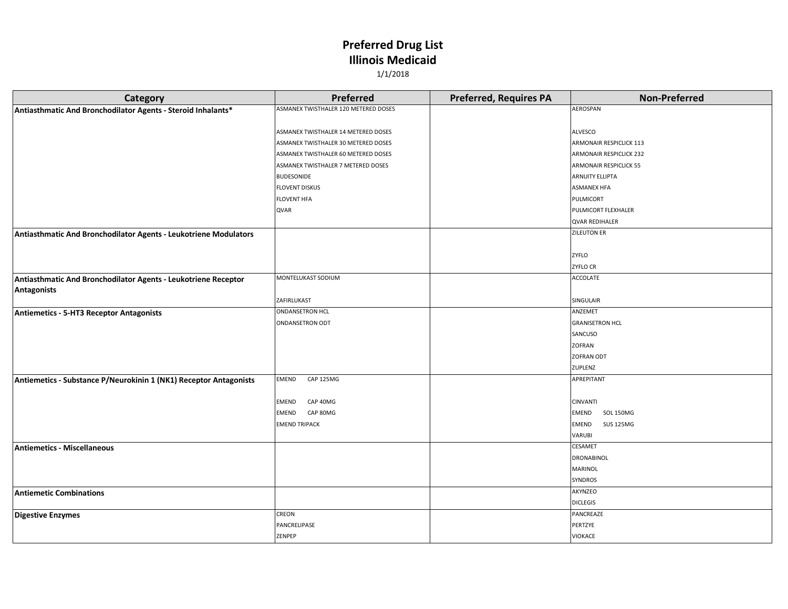| <b>Category</b>                                                   | <b>Preferred</b>                     | <b>Preferred, Requires PA</b> | <b>Non-Preferred</b>             |
|-------------------------------------------------------------------|--------------------------------------|-------------------------------|----------------------------------|
| Antiasthmatic And Bronchodilator Agents - Steroid Inhalants*      | ASMANEX TWISTHALER 120 METERED DOSES |                               | AEROSPAN                         |
|                                                                   |                                      |                               |                                  |
|                                                                   | ASMANEX TWISTHALER 14 METERED DOSES  |                               | ALVESCO                          |
|                                                                   | ASMANEX TWISTHALER 30 METERED DOSES  |                               | ARMONAIR RESPICLICK 113          |
|                                                                   | ASMANEX TWISTHALER 60 METERED DOSES  |                               | <b>ARMONAIR RESPICLICK 232</b>   |
|                                                                   | ASMANEX TWISTHALER 7 METERED DOSES   |                               | <b>ARMONAIR RESPICLICK 55</b>    |
|                                                                   | BUDESONIDE                           |                               | <b>ARNUITY ELLIPTA</b>           |
|                                                                   | <b>FLOVENT DISKUS</b>                |                               | <b>ASMANEX HFA</b>               |
|                                                                   | <b>FLOVENT HFA</b>                   |                               | PULMICORT                        |
|                                                                   | QVAR                                 |                               | PULMICORT FLEXHALER              |
|                                                                   |                                      |                               | <b>QVAR REDIHALER</b>            |
| Antiasthmatic And Bronchodilator Agents - Leukotriene Modulators  |                                      |                               | <b>ZILEUTON ER</b>               |
|                                                                   |                                      |                               |                                  |
|                                                                   |                                      |                               | ZYFLO                            |
|                                                                   |                                      |                               | <b>ZYFLO CR</b>                  |
| Antiasthmatic And Bronchodilator Agents - Leukotriene Receptor    | MONTELUKAST SODIUM                   |                               | ACCOLATE                         |
| <b>Antagonists</b>                                                |                                      |                               |                                  |
|                                                                   | ZAFIRLUKAST                          |                               | SINGULAIR                        |
| <b>Antiemetics - 5-HT3 Receptor Antagonists</b>                   | <b>ONDANSETRON HCL</b>               |                               | ANZEMET                          |
|                                                                   | <b>ONDANSETRON ODT</b>               |                               | <b>GRANISETRON HCL</b>           |
|                                                                   |                                      |                               | SANCUSO                          |
|                                                                   |                                      |                               | ZOFRAN                           |
|                                                                   |                                      |                               | <b>ZOFRAN ODT</b>                |
|                                                                   |                                      |                               | ZUPLENZ                          |
| Antiemetics - Substance P/Neurokinin 1 (NK1) Receptor Antagonists | EMEND<br>CAP 125MG                   |                               | APREPITANT                       |
|                                                                   |                                      |                               |                                  |
|                                                                   | CAP 40MG<br><b>EMEND</b>             |                               | <b>CINVANTI</b>                  |
|                                                                   | CAP 80MG<br><b>EMEND</b>             |                               | <b>SOL 150MG</b><br>EMEND        |
|                                                                   | <b>EMEND TRIPACK</b>                 |                               | <b>SUS 125MG</b><br><b>EMEND</b> |
|                                                                   |                                      |                               | VARUBI                           |
| <b>Antiemetics - Miscellaneous</b>                                |                                      |                               | CESAMET                          |
|                                                                   |                                      |                               | DRONABINOL                       |
|                                                                   |                                      |                               | MARINOL                          |
|                                                                   |                                      |                               | <b>SYNDROS</b>                   |
| <b>Antiemetic Combinations</b>                                    |                                      |                               | AKYNZEO                          |
|                                                                   |                                      |                               | <b>DICLEGIS</b>                  |
| <b>Digestive Enzymes</b>                                          | CREON                                |                               | PANCREAZE                        |
|                                                                   | PANCRELIPASE                         |                               | PERTZYE                          |
|                                                                   | ZENPEP                               |                               | VIOKACE                          |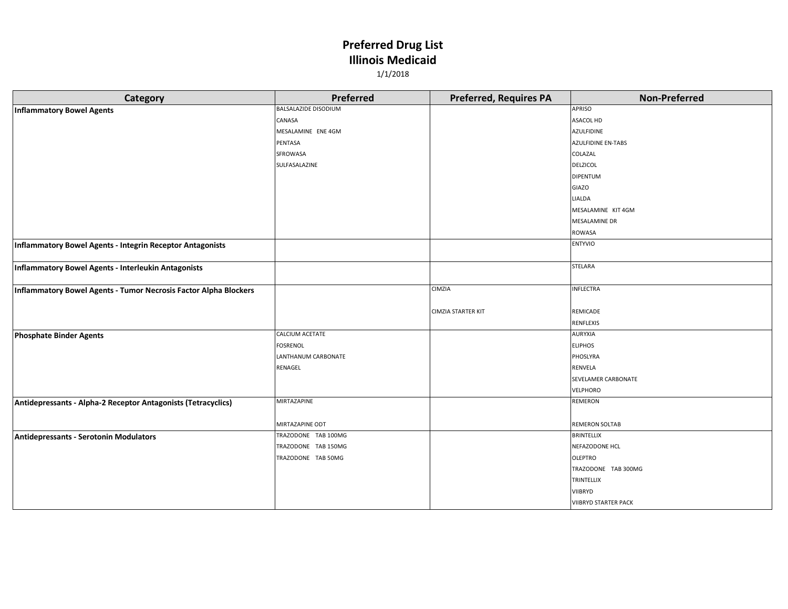| Category                                                         | Preferred                   | <b>Preferred, Requires PA</b> | <b>Non-Preferred</b>        |
|------------------------------------------------------------------|-----------------------------|-------------------------------|-----------------------------|
| <b>Inflammatory Bowel Agents</b>                                 | <b>BALSALAZIDE DISODIUM</b> |                               | <b>APRISO</b>               |
|                                                                  | CANASA                      |                               | <b>ASACOL HD</b>            |
|                                                                  | MESALAMINE ENE 4GM          |                               | <b>AZULFIDINE</b>           |
|                                                                  | PENTASA                     |                               | <b>AZULFIDINE EN-TABS</b>   |
|                                                                  | SFROWASA                    |                               | COLAZAL                     |
|                                                                  | SULFASALAZINE               |                               | <b>DELZICOL</b>             |
|                                                                  |                             |                               | <b>DIPENTUM</b>             |
|                                                                  |                             |                               | <b>GIAZO</b>                |
|                                                                  |                             |                               | <b>LIALDA</b>               |
|                                                                  |                             |                               | MESALAMINE KIT 4GM          |
|                                                                  |                             |                               | <b>MESALAMINE DR</b>        |
|                                                                  |                             |                               | ROWASA                      |
| Inflammatory Bowel Agents - Integrin Receptor Antagonists        |                             |                               | <b>ENTYVIO</b>              |
| Inflammatory Bowel Agents - Interleukin Antagonists              |                             |                               | STELARA                     |
|                                                                  |                             |                               |                             |
| Inflammatory Bowel Agents - Tumor Necrosis Factor Alpha Blockers |                             | CIMZIA                        | <b>INFLECTRA</b>            |
|                                                                  |                             | <b>CIMZIA STARTER KIT</b>     | REMICADE                    |
|                                                                  |                             |                               | <b>RENFLEXIS</b>            |
| <b>Phosphate Binder Agents</b>                                   | CALCIUM ACETATE             |                               | AURYXIA                     |
|                                                                  | <b>FOSRENOL</b>             |                               | <b>ELIPHOS</b>              |
|                                                                  | LANTHANUM CARBONATE         |                               | PHOSLYRA                    |
|                                                                  | RENAGEL                     |                               | <b>RENVELA</b>              |
|                                                                  |                             |                               | SEVELAMER CARBONATE         |
|                                                                  |                             |                               | VELPHORO                    |
| Antidepressants - Alpha-2 Receptor Antagonists (Tetracyclics)    | MIRTAZAPINE                 |                               | <b>REMERON</b>              |
|                                                                  |                             |                               |                             |
|                                                                  | MIRTAZAPINE ODT             |                               | <b>REMERON SOLTAB</b>       |
| Antidepressants - Serotonin Modulators                           | TRAZODONE TAB 100MG         |                               | <b>BRINTELLIX</b>           |
|                                                                  | TRAZODONE TAB 150MG         |                               | NEFAZODONE HCL              |
|                                                                  | TRAZODONE TAB 50MG          |                               | <b>OLEPTRO</b>              |
|                                                                  |                             |                               | TRAZODONE TAB 300MG         |
|                                                                  |                             |                               | TRINTELLIX                  |
|                                                                  |                             |                               | <b>VIIBRYD</b>              |
|                                                                  |                             |                               | <b>VIIBRYD STARTER PACK</b> |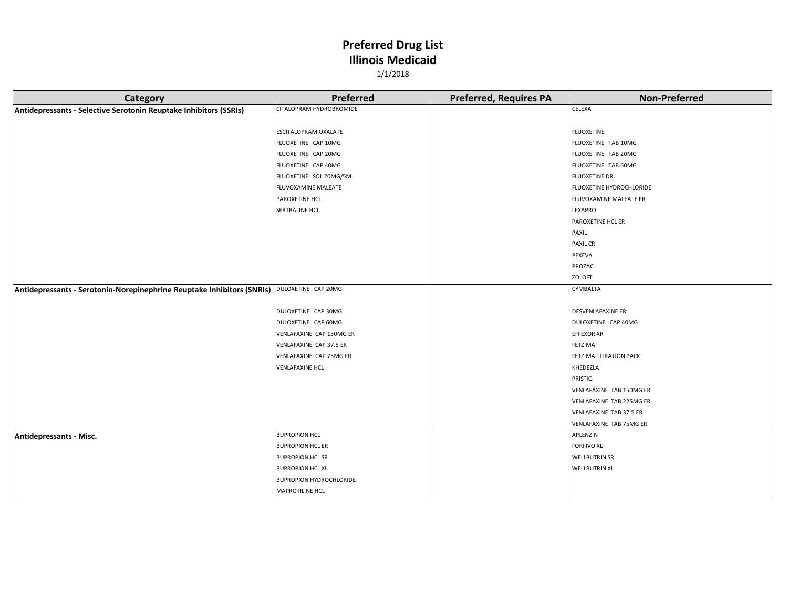| <b>Category</b>                                                                            | Preferred                      | <b>Preferred, Requires PA</b> | <b>Non-Preferred</b>     |
|--------------------------------------------------------------------------------------------|--------------------------------|-------------------------------|--------------------------|
| Antidepressants - Selective Serotonin Reuptake Inhibitors (SSRIs)                          | CITALOPRAM HYDROBROMIDE        |                               | <b>CELEXA</b>            |
|                                                                                            |                                |                               |                          |
|                                                                                            | ESCITALOPRAM OXALATE           |                               | <b>FLUOXETINE</b>        |
|                                                                                            | FLUOXETINE CAP 10MG            |                               | FLUOXETINE TAB 10MG      |
|                                                                                            | FLUOXETINE CAP 20MG            |                               | FLUOXETINE TAB 20MG      |
|                                                                                            | FLUOXETINE CAP 40MG            |                               | FLUOXETINE TAB 60MG      |
|                                                                                            | FLUOXETINE SOL 20MG/5ML        |                               | <b>FLUOXETINE DR</b>     |
|                                                                                            | FLUVOXAMINE MALEATE            |                               | FLUOXETINE HYDROCHLORIDE |
|                                                                                            | PAROXETINE HCL                 |                               | FLUVOXAMINE MALEATE ER   |
|                                                                                            | <b>SERTRALINE HCL</b>          |                               | LEXAPRO                  |
|                                                                                            |                                |                               | PAROXETINE HCL ER        |
|                                                                                            |                                |                               | PAXIL                    |
|                                                                                            |                                |                               | <b>PAXIL CR</b>          |
|                                                                                            |                                |                               | PEXEVA                   |
|                                                                                            |                                |                               | PROZAC                   |
|                                                                                            |                                |                               | <b>ZOLOFT</b>            |
| Antidepressants - Serotonin-Norepinephrine Reuptake Inhibitors (SNRIs) DULOXETINE CAP 20MG |                                |                               | CYMBALTA                 |
|                                                                                            |                                |                               |                          |
|                                                                                            | DULOXETINE CAP 30MG            |                               | <b>DESVENLAFAXINE ER</b> |
|                                                                                            | DULOXETINE CAP 60MG            |                               | DULOXETINE CAP 40MG      |
|                                                                                            | VENLAFAXINE CAP 150MG ER       |                               | <b>EFFEXOR XR</b>        |
|                                                                                            | VENLAFAXINE CAP 37.5 ER        |                               | FETZIMA                  |
|                                                                                            | VENLAFAXINE CAP 75MG ER        |                               | FETZIMA TITRATION PACK   |
|                                                                                            | <b>VENLAFAXINE HCL</b>         |                               | KHEDEZLA                 |
|                                                                                            |                                |                               | PRISTIQ                  |
|                                                                                            |                                |                               | VENLAFAXINE TAB 150MG ER |
|                                                                                            |                                |                               | VENLAFAXINE TAB 225MG ER |
|                                                                                            |                                |                               | VENLAFAXINE TAB 37.5 ER  |
|                                                                                            |                                |                               | VENLAFAXINE TAB 75MG ER  |
| Antidepressants - Misc.                                                                    | <b>BUPROPION HCL</b>           |                               | APLENZIN                 |
|                                                                                            | <b>BUPROPION HCL ER</b>        |                               | <b>FORFIVO XL</b>        |
|                                                                                            | <b>BUPROPION HCL SR</b>        |                               | <b>WELLBUTRIN SR</b>     |
|                                                                                            | <b>BUPROPION HCL XL</b>        |                               | <b>WELLBUTRIN XL</b>     |
|                                                                                            | <b>BUPROPION HYDROCHLORIDE</b> |                               |                          |
|                                                                                            | <b>MAPROTILINE HCL</b>         |                               |                          |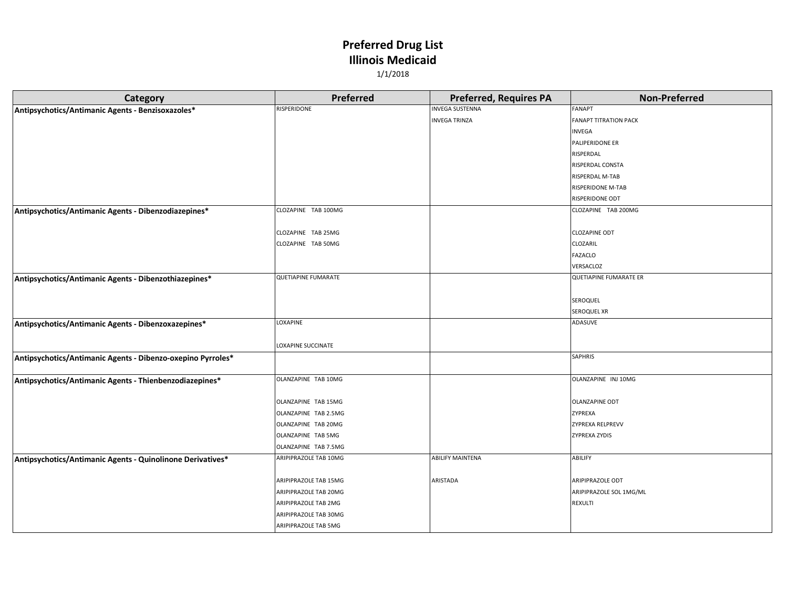| <b>Category</b>                                             | Preferred                  | <b>Preferred, Requires PA</b> | <b>Non-Preferred</b>          |
|-------------------------------------------------------------|----------------------------|-------------------------------|-------------------------------|
| Antipsychotics/Antimanic Agents - Benzisoxazoles*           | RISPERIDONE                | <b>INVEGA SUSTENNA</b>        | FANAPT                        |
|                                                             |                            | <b>INVEGA TRINZA</b>          | <b>FANAPT TITRATION PACK</b>  |
|                                                             |                            |                               | INVEGA                        |
|                                                             |                            |                               | PALIPERIDONE ER               |
|                                                             |                            |                               | RISPERDAL                     |
|                                                             |                            |                               | RISPERDAL CONSTA              |
|                                                             |                            |                               | RISPERDAL M-TAB               |
|                                                             |                            |                               | RISPERIDONE M-TAB             |
|                                                             |                            |                               | RISPERIDONE ODT               |
| Antipsychotics/Antimanic Agents - Dibenzodiazepines*        | CLOZAPINE TAB 100MG        |                               | CLOZAPINE TAB 200MG           |
|                                                             |                            |                               |                               |
|                                                             | CLOZAPINE TAB 25MG         |                               | <b>CLOZAPINE ODT</b>          |
|                                                             | CLOZAPINE TAB 50MG         |                               | CLOZARIL                      |
|                                                             |                            |                               | <b>FAZACLO</b>                |
|                                                             |                            |                               | VERSACLOZ                     |
| Antipsychotics/Antimanic Agents - Dibenzothiazepines*       | <b>QUETIAPINE FUMARATE</b> |                               | <b>QUETIAPINE FUMARATE ER</b> |
|                                                             |                            |                               |                               |
|                                                             |                            |                               | SEROQUEL                      |
|                                                             |                            |                               | SEROQUEL XR                   |
| Antipsychotics/Antimanic Agents - Dibenzoxazepines*         | LOXAPINE                   |                               | ADASUVE                       |
|                                                             |                            |                               |                               |
|                                                             | LOXAPINE SUCCINATE         |                               |                               |
| Antipsychotics/Antimanic Agents - Dibenzo-oxepino Pyrroles* |                            |                               | SAPHRIS                       |
|                                                             |                            |                               |                               |
| Antipsychotics/Antimanic Agents - Thienbenzodiazepines*     | OLANZAPINE TAB 10MG        |                               | OLANZAPINE INJ 10MG           |
|                                                             |                            |                               |                               |
|                                                             | OLANZAPINE TAB 15MG        |                               | <b>OLANZAPINE ODT</b>         |
|                                                             | OLANZAPINE TAB 2.5MG       |                               | ZYPREXA                       |
|                                                             | OLANZAPINE TAB 20MG        |                               | <b>ZYPREXA RELPREVV</b>       |
|                                                             | OLANZAPINE TAB 5MG         |                               | <b>ZYPREXA ZYDIS</b>          |
|                                                             | OLANZAPINE TAB 7.5MG       |                               |                               |
| Antipsychotics/Antimanic Agents - Quinolinone Derivatives*  | ARIPIPRAZOLE TAB 10MG      | <b>ABILIFY MAINTENA</b>       | ABILIFY                       |
|                                                             |                            |                               |                               |
|                                                             | ARIPIPRAZOLE TAB 15MG      | ARISTADA                      | ARIPIPRAZOLE ODT              |
|                                                             | ARIPIPRAZOLE TAB 20MG      |                               | ARIPIPRAZOLE SOL 1MG/ML       |
|                                                             | ARIPIPRAZOLE TAB 2MG       |                               | REXULTI                       |
|                                                             | ARIPIPRAZOLE TAB 30MG      |                               |                               |
|                                                             | ARIPIPRAZOLE TAB 5MG       |                               |                               |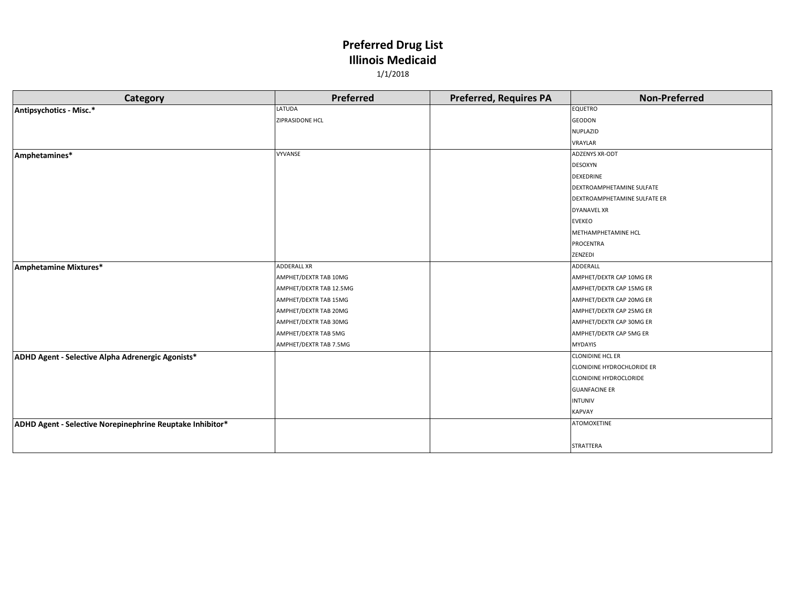| 1/1/2018 |                        |                               |                      |  |
|----------|------------------------|-------------------------------|----------------------|--|
| Category | <b>Preferred</b>       | <b>Preferred, Requires PA</b> | <b>Non-Preferred</b> |  |
|          | LATUDA                 |                               | <b>EQUETRO</b>       |  |
|          | <b>ZIPRASIDONE HCL</b> |                               | <b>GEODON</b>        |  |

| Antipsychotics - Misc.*                                   | LATUDA                  | <b>EQUETRO</b>                    |
|-----------------------------------------------------------|-------------------------|-----------------------------------|
|                                                           | ZIPRASIDONE HCL         | <b>GEODON</b>                     |
|                                                           |                         | <b>NUPLAZID</b>                   |
|                                                           |                         | VRAYLAR                           |
| Amphetamines*                                             | <b>VYVANSE</b>          | <b>ADZENYS XR-ODT</b>             |
|                                                           |                         | <b>DESOXYN</b>                    |
|                                                           |                         | <b>DEXEDRINE</b>                  |
|                                                           |                         | DEXTROAMPHETAMINE SULFATE         |
|                                                           |                         | DEXTROAMPHETAMINE SULFATE ER      |
|                                                           |                         | <b>DYANAVEL XR</b>                |
|                                                           |                         | <b>EVEKEO</b>                     |
|                                                           |                         | METHAMPHETAMINE HCL               |
|                                                           |                         | PROCENTRA                         |
|                                                           |                         | ZENZEDI                           |
| Amphetamine Mixtures*                                     | <b>ADDERALL XR</b>      | ADDERALL                          |
|                                                           | AMPHET/DEXTR TAB 10MG   | AMPHET/DEXTR CAP 10MG ER          |
|                                                           | AMPHET/DEXTR TAB 12.5MG | AMPHET/DEXTR CAP 15MG ER          |
|                                                           | AMPHET/DEXTR TAB 15MG   | AMPHET/DEXTR CAP 20MG ER          |
|                                                           | AMPHET/DEXTR TAB 20MG   | AMPHET/DEXTR CAP 25MG ER          |
|                                                           | AMPHET/DEXTR TAB 30MG   | AMPHET/DEXTR CAP 30MG ER          |
|                                                           | AMPHET/DEXTR TAB 5MG    | AMPHET/DEXTR CAP 5MG ER           |
|                                                           | AMPHET/DEXTR TAB 7.5MG  | <b>MYDAYIS</b>                    |
| ADHD Agent - Selective Alpha Adrenergic Agonists*         |                         | <b>CLONIDINE HCL ER</b>           |
|                                                           |                         | <b>CLONIDINE HYDROCHLORIDE ER</b> |
|                                                           |                         | <b>CLONIDINE HYDROCLORIDE</b>     |
|                                                           |                         | <b>GUANFACINE ER</b>              |
|                                                           |                         | <b>INTUNIV</b>                    |
|                                                           |                         | <b>KAPVAY</b>                     |
| ADHD Agent - Selective Norepinephrine Reuptake Inhibitor* |                         | <b>ATOMOXETINE</b>                |
|                                                           |                         |                                   |
|                                                           |                         | STRATTERA                         |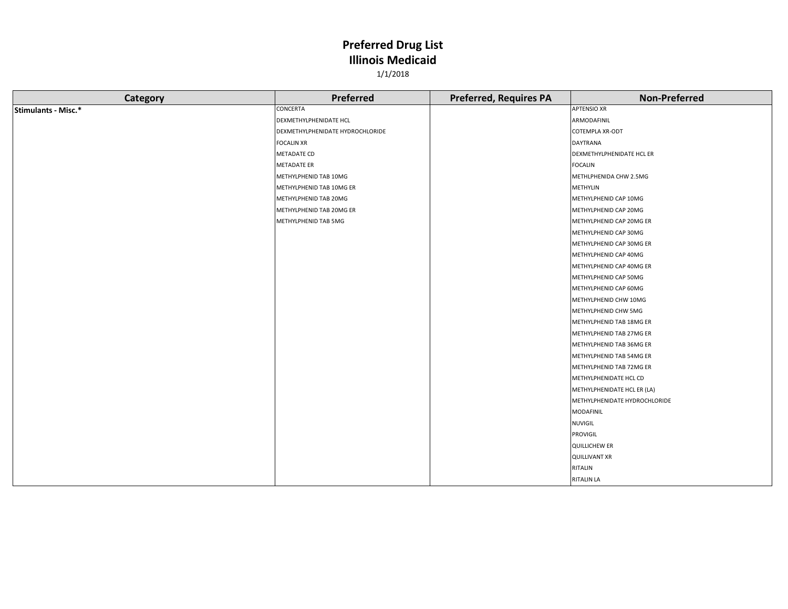| Category            | Preferred                        | <b>Preferred, Requires PA</b> | <b>Non-Preferred</b>          |
|---------------------|----------------------------------|-------------------------------|-------------------------------|
| Stimulants - Misc.* | CONCERTA                         |                               | <b>APTENSIO XR</b>            |
|                     | DEXMETHYLPHENIDATE HCL           |                               | ARMODAFINIL                   |
|                     | DEXMETHYLPHENIDATE HYDROCHLORIDE |                               | COTEMPLA XR-ODT               |
|                     | <b>FOCALIN XR</b>                |                               | DAYTRANA                      |
|                     | METADATE CD                      |                               | DEXMETHYLPHENIDATE HCL ER     |
|                     | <b>METADATE ER</b>               |                               | <b>FOCALIN</b>                |
|                     | METHYLPHENID TAB 10MG            |                               | METHLPHENIDA CHW 2.5MG        |
|                     | METHYLPHENID TAB 10MG ER         |                               | METHYLIN                      |
|                     | METHYLPHENID TAB 20MG            |                               | METHYLPHENID CAP 10MG         |
|                     | METHYLPHENID TAB 20MG ER         |                               | METHYLPHENID CAP 20MG         |
|                     | METHYLPHENID TAB 5MG             |                               | METHYLPHENID CAP 20MG ER      |
|                     |                                  |                               | METHYLPHENID CAP 30MG         |
|                     |                                  |                               | METHYLPHENID CAP 30MG ER      |
|                     |                                  |                               | METHYLPHENID CAP 40MG         |
|                     |                                  |                               | METHYLPHENID CAP 40MG ER      |
|                     |                                  |                               | METHYLPHENID CAP 50MG         |
|                     |                                  |                               | METHYLPHENID CAP 60MG         |
|                     |                                  |                               | METHYLPHENID CHW 10MG         |
|                     |                                  |                               | METHYLPHENID CHW 5MG          |
|                     |                                  |                               | METHYLPHENID TAB 18MG ER      |
|                     |                                  |                               | METHYLPHENID TAB 27MG ER      |
|                     |                                  |                               | METHYLPHENID TAB 36MG ER      |
|                     |                                  |                               | METHYLPHENID TAB 54MG ER      |
|                     |                                  |                               | METHYLPHENID TAB 72MG ER      |
|                     |                                  |                               | METHYLPHENIDATE HCL CD        |
|                     |                                  |                               | METHYLPHENIDATE HCL ER (LA)   |
|                     |                                  |                               | METHYLPHENIDATE HYDROCHLORIDE |
|                     |                                  |                               | <b>MODAFINIL</b>              |
|                     |                                  |                               | NUVIGIL                       |
|                     |                                  |                               | PROVIGIL                      |
|                     |                                  |                               | <b>QUILLICHEW ER</b>          |
|                     |                                  |                               | <b>QUILLIVANT XR</b>          |
|                     |                                  |                               | RITALIN                       |
|                     |                                  |                               | <b>RITALIN LA</b>             |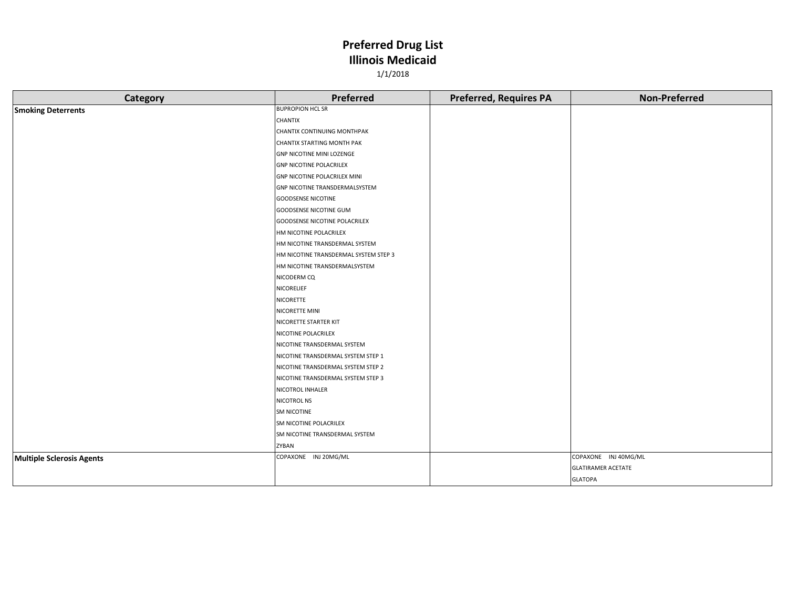| Category                         | Preferred                             | <b>Preferred, Requires PA</b> | <b>Non-Preferred</b>      |
|----------------------------------|---------------------------------------|-------------------------------|---------------------------|
| <b>Smoking Deterrents</b>        | <b>BUPROPION HCL SR</b>               |                               |                           |
|                                  | CHANTIX                               |                               |                           |
|                                  | CHANTIX CONTINUING MONTHPAK           |                               |                           |
|                                  | CHANTIX STARTING MONTH PAK            |                               |                           |
|                                  | <b>GNP NICOTINE MINI LOZENGE</b>      |                               |                           |
|                                  | <b>GNP NICOTINE POLACRILEX</b>        |                               |                           |
|                                  | <b>GNP NICOTINE POLACRILEX MINI</b>   |                               |                           |
|                                  | GNP NICOTINE TRANSDERMALSYSTEM        |                               |                           |
|                                  | <b>GOODSENSE NICOTINE</b>             |                               |                           |
|                                  | <b>GOODSENSE NICOTINE GUM</b>         |                               |                           |
|                                  | GOODSENSE NICOTINE POLACRILEX         |                               |                           |
|                                  | HM NICOTINE POLACRILEX                |                               |                           |
|                                  | HM NICOTINE TRANSDERMAL SYSTEM        |                               |                           |
|                                  | HM NICOTINE TRANSDERMAL SYSTEM STEP 3 |                               |                           |
|                                  | HM NICOTINE TRANSDERMALSYSTEM         |                               |                           |
|                                  | NICODERM CQ                           |                               |                           |
|                                  | NICORELIEF                            |                               |                           |
|                                  | NICORETTE                             |                               |                           |
|                                  | NICORETTE MINI                        |                               |                           |
|                                  | NICORETTE STARTER KIT                 |                               |                           |
|                                  | NICOTINE POLACRILEX                   |                               |                           |
|                                  | NICOTINE TRANSDERMAL SYSTEM           |                               |                           |
|                                  | NICOTINE TRANSDERMAL SYSTEM STEP 1    |                               |                           |
|                                  | NICOTINE TRANSDERMAL SYSTEM STEP 2    |                               |                           |
|                                  | NICOTINE TRANSDERMAL SYSTEM STEP 3    |                               |                           |
|                                  | NICOTROL INHALER                      |                               |                           |
|                                  | <b>NICOTROL NS</b>                    |                               |                           |
|                                  | <b>SM NICOTINE</b>                    |                               |                           |
|                                  | SM NICOTINE POLACRILEX                |                               |                           |
|                                  | SM NICOTINE TRANSDERMAL SYSTEM        |                               |                           |
|                                  | ZYBAN                                 |                               |                           |
| <b>Multiple Sclerosis Agents</b> | COPAXONE INJ 20MG/ML                  |                               | COPAXONE INJ 40MG/ML      |
|                                  |                                       |                               | <b>GLATIRAMER ACETATE</b> |
|                                  |                                       |                               | <b>GLATOPA</b>            |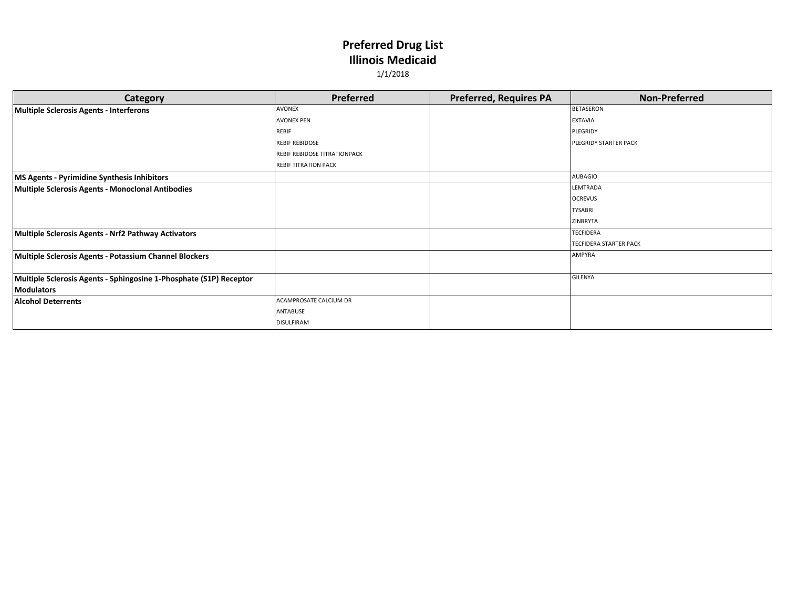| Category                                                           | Preferred                           | <b>Preferred, Requires PA</b> | <b>Non-Preferred</b>          |
|--------------------------------------------------------------------|-------------------------------------|-------------------------------|-------------------------------|
| <b>Multiple Sclerosis Agents - Interferons</b>                     | <b>AVONEX</b>                       |                               | <b>BETASERON</b>              |
|                                                                    | <b>AVONEX PEN</b>                   |                               | <b>EXTAVIA</b>                |
|                                                                    | <b>REBIF</b>                        |                               | PLEGRIDY                      |
|                                                                    | <b>REBIF REBIDOSE</b>               |                               | PLEGRIDY STARTER PACK         |
|                                                                    | <b>REBIF REBIDOSE TITRATIONPACK</b> |                               |                               |
|                                                                    | <b>REBIF TITRATION PACK</b>         |                               |                               |
| MS Agents - Pyrimidine Synthesis Inhibitors                        |                                     |                               | AUBAGIO                       |
| <b>Multiple Sclerosis Agents - Monoclonal Antibodies</b>           |                                     |                               | LEMTRADA                      |
|                                                                    |                                     |                               | <b>OCREVUS</b>                |
|                                                                    |                                     |                               | <b>TYSABRI</b>                |
|                                                                    |                                     |                               | ZINBRYTA                      |
| Multiple Sclerosis Agents - Nrf2 Pathway Activators                |                                     |                               | <b>TECFIDERA</b>              |
|                                                                    |                                     |                               | <b>TECFIDERA STARTER PACK</b> |
| Multiple Sclerosis Agents - Potassium Channel Blockers             |                                     |                               | <b>AMPYRA</b>                 |
|                                                                    |                                     |                               |                               |
| Multiple Sclerosis Agents - Sphingosine 1-Phosphate (S1P) Receptor |                                     |                               | GILENYA                       |
| <b>Modulators</b>                                                  |                                     |                               |                               |
| <b>Alcohol Deterrents</b>                                          | ACAMPROSATE CALCIUM DR              |                               |                               |
|                                                                    | ANTABUSE                            |                               |                               |
|                                                                    | <b>DISULFIRAM</b>                   |                               |                               |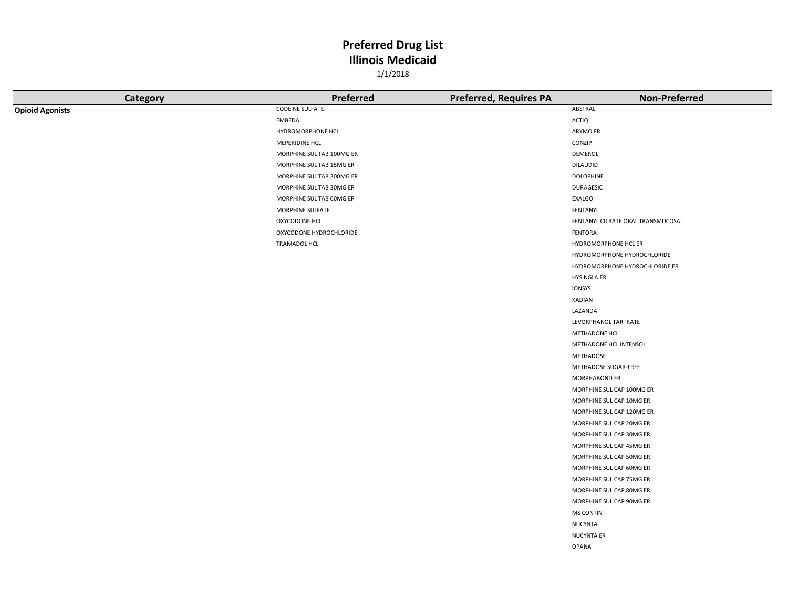| Category               | Preferred                 | <b>Preferred, Requires PA</b> | <b>Non-Preferred</b>               |
|------------------------|---------------------------|-------------------------------|------------------------------------|
| <b>Opioid Agonists</b> | <b>CODEINE SULFATE</b>    |                               | ABSTRAL                            |
|                        | EMBEDA                    |                               | <b>ACTIQ</b>                       |
|                        | HYDROMORPHONE HCL         |                               | ARYMO ER                           |
|                        | MEPERIDINE HCL            |                               | CONZIP                             |
|                        | MORPHINE SUL TAB 100MG ER |                               | DEMEROL                            |
|                        | MORPHINE SUL TAB 15MG ER  |                               | <b>DILAUDID</b>                    |
|                        | MORPHINE SUL TAB 200MG ER |                               | <b>DOLOPHINE</b>                   |
|                        | MORPHINE SUL TAB 30MG ER  |                               | <b>DURAGESIC</b>                   |
|                        | MORPHINE SUL TAB 60MG ER  |                               | <b>EXALGO</b>                      |
|                        | MORPHINE SULFATE          |                               | FENTANYL                           |
|                        | <b>OXYCODONE HCL</b>      |                               | FENTANYL CITRATE ORAL TRANSMUCOSAL |
|                        | OXYCODONE HYDROCHLORIDE   |                               | <b>FENTORA</b>                     |
|                        | TRAMADOL HCL              |                               | HYDROMORPHONE HCL ER               |
|                        |                           |                               | HYDROMORPHONE HYDROCHLORIDE        |
|                        |                           |                               | HYDROMORPHONE HYDROCHLORIDE ER     |
|                        |                           |                               | <b>HYSINGLA ER</b>                 |
|                        |                           |                               | IONSYS                             |
|                        |                           |                               | KADIAN                             |
|                        |                           |                               | LAZANDA                            |
|                        |                           |                               | LEVORPHANOL TARTRATE               |
|                        |                           |                               | METHADONE HCL                      |
|                        |                           |                               | METHADONE HCL INTENSOL             |
|                        |                           |                               | METHADOSE                          |
|                        |                           |                               | METHADOSE SUGAR-FREE               |
|                        |                           |                               | MORPHABOND ER                      |
|                        |                           |                               | MORPHINE SUL CAP 100MG ER          |
|                        |                           |                               | MORPHINE SUL CAP 10MG ER           |
|                        |                           |                               | MORPHINE SUL CAP 120MG ER          |
|                        |                           |                               | MORPHINE SUL CAP 20MG ER           |
|                        |                           |                               | MORPHINE SUL CAP 30MG ER           |
|                        |                           |                               | MORPHINE SUL CAP 45MG ER           |
|                        |                           |                               | MORPHINE SUL CAP 50MG ER           |
|                        |                           |                               | MORPHINE SUL CAP 60MG ER           |
|                        |                           |                               | MORPHINE SUL CAP 75MG ER           |
|                        |                           |                               | MORPHINE SUL CAP 80MG ER           |
|                        |                           |                               | MORPHINE SUL CAP 90MG ER           |
|                        |                           |                               | <b>MS CONTIN</b>                   |
|                        |                           |                               | <b>NUCYNTA</b>                     |
|                        |                           |                               | <b>NUCYNTA ER</b>                  |
|                        |                           |                               | <b>OPANA</b>                       |
|                        |                           |                               |                                    |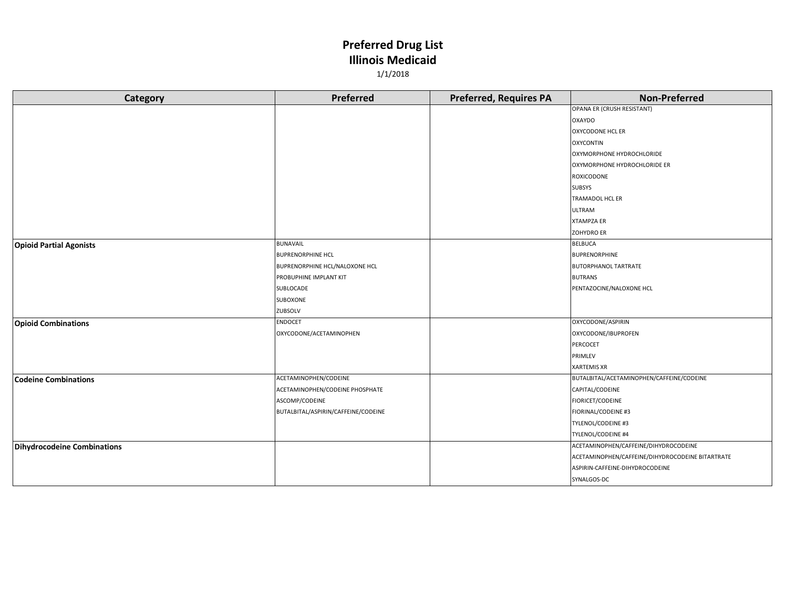| Category                       | Preferred                           | <b>Preferred, Requires PA</b> | <b>Non-Preferred</b>                             |
|--------------------------------|-------------------------------------|-------------------------------|--------------------------------------------------|
|                                |                                     |                               | OPANA ER (CRUSH RESISTANT)                       |
|                                |                                     |                               | <b>OXAYDO</b>                                    |
|                                |                                     |                               | <b>OXYCODONE HCL ER</b>                          |
|                                |                                     |                               | <b>OXYCONTIN</b>                                 |
|                                |                                     |                               | OXYMORPHONE HYDROCHLORIDE                        |
|                                |                                     |                               | OXYMORPHONE HYDROCHLORIDE ER                     |
|                                |                                     |                               | <b>ROXICODONE</b>                                |
|                                |                                     |                               | <b>SUBSYS</b>                                    |
|                                |                                     |                               | TRAMADOL HCL ER                                  |
|                                |                                     |                               | <b>ULTRAM</b>                                    |
|                                |                                     |                               | <b>XTAMPZA ER</b>                                |
|                                |                                     |                               | <b>ZOHYDRO ER</b>                                |
| <b>Opioid Partial Agonists</b> | BUNAVAIL                            |                               | <b>BELBUCA</b>                                   |
|                                | <b>BUPRENORPHINE HCL</b>            |                               | <b>BUPRENORPHINE</b>                             |
|                                | BUPRENORPHINE HCL/NALOXONE HCL      |                               | <b>BUTORPHANOL TARTRATE</b>                      |
|                                | PROBUPHINE IMPLANT KIT              |                               | <b>BUTRANS</b>                                   |
|                                | SUBLOCADE                           |                               | PENTAZOCINE/NALOXONE HCL                         |
|                                | SUBOXONE                            |                               |                                                  |
|                                | ZUBSOLV                             |                               |                                                  |
| <b>Opioid Combinations</b>     | <b>ENDOCET</b>                      |                               | OXYCODONE/ASPIRIN                                |
|                                | OXYCODONE/ACETAMINOPHEN             |                               | OXYCODONE/IBUPROFEN                              |
|                                |                                     |                               | PERCOCET                                         |
|                                |                                     |                               | PRIMLEV                                          |
|                                |                                     |                               | <b>XARTEMIS XR</b>                               |
| <b>Codeine Combinations</b>    | ACETAMINOPHEN/CODEINE               |                               | BUTALBITAL/ACETAMINOPHEN/CAFFEINE/CODEINE        |
|                                | ACETAMINOPHEN/CODEINE PHOSPHATE     |                               | CAPITAL/CODEINE                                  |
|                                | ASCOMP/CODEINE                      |                               | FIORICET/CODEINE                                 |
|                                | BUTALBITAL/ASPIRIN/CAFFEINE/CODEINE |                               | FIORINAL/CODEINE #3                              |
|                                |                                     |                               | TYLENOL/CODEINE #3                               |
|                                |                                     |                               | TYLENOL/CODEINE #4                               |
| Dihydrocodeine Combinations    |                                     |                               | ACETAMINOPHEN/CAFFEINE/DIHYDROCODEINE            |
|                                |                                     |                               | ACETAMINOPHEN/CAFFEINE/DIHYDROCODEINE BITARTRATE |
|                                |                                     |                               | ASPIRIN-CAFFEINE-DIHYDROCODEINE                  |
|                                |                                     |                               | SYNALGOS-DC                                      |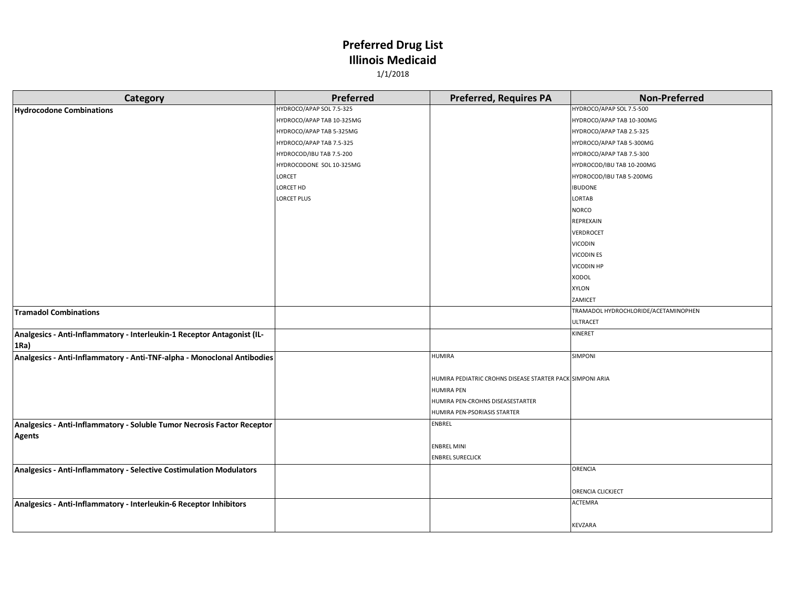| Category                                                                | Preferred                 | <b>Preferred, Requires PA</b>                             | <b>Non-Preferred</b>                 |
|-------------------------------------------------------------------------|---------------------------|-----------------------------------------------------------|--------------------------------------|
| <b>Hydrocodone Combinations</b>                                         | HYDROCO/APAP SOL 7.5-325  |                                                           | HYDROCO/APAP SOL 7.5-500             |
|                                                                         | HYDROCO/APAP TAB 10-325MG |                                                           | HYDROCO/APAP TAB 10-300MG            |
|                                                                         | HYDROCO/APAP TAB 5-325MG  |                                                           | HYDROCO/APAP TAB 2.5-325             |
|                                                                         | HYDROCO/APAP TAB 7.5-325  |                                                           | HYDROCO/APAP TAB 5-300MG             |
|                                                                         | HYDROCOD/IBU TAB 7.5-200  |                                                           | HYDROCO/APAP TAB 7.5-300             |
|                                                                         | HYDROCODONE SOL 10-325MG  |                                                           | HYDROCOD/IBU TAB 10-200MG            |
|                                                                         | LORCET                    |                                                           | HYDROCOD/IBU TAB 5-200MG             |
|                                                                         | LORCET HD                 |                                                           | <b>IBUDONE</b>                       |
|                                                                         | <b>LORCET PLUS</b>        |                                                           | LORTAB                               |
|                                                                         |                           |                                                           | <b>NORCO</b>                         |
|                                                                         |                           |                                                           | REPREXAIN                            |
|                                                                         |                           |                                                           | VERDROCET                            |
|                                                                         |                           |                                                           | <b>VICODIN</b>                       |
|                                                                         |                           |                                                           | <b>VICODIN ES</b>                    |
|                                                                         |                           |                                                           | <b>VICODIN HP</b>                    |
|                                                                         |                           |                                                           | <b>XODOL</b>                         |
|                                                                         |                           |                                                           | XYLON                                |
|                                                                         |                           |                                                           | ZAMICET                              |
| <b>Tramadol Combinations</b>                                            |                           |                                                           | TRAMADOL HYDROCHLORIDE/ACETAMINOPHEN |
|                                                                         |                           |                                                           | ULTRACET                             |
| Analgesics - Anti-Inflammatory - Interleukin-1 Receptor Antagonist (IL- |                           |                                                           | KINERET                              |
| 1Ra)                                                                    |                           |                                                           |                                      |
| Analgesics - Anti-Inflammatory - Anti-TNF-alpha - Monoclonal Antibodies |                           | <b>HUMIRA</b>                                             | SIMPONI                              |
|                                                                         |                           | HUMIRA PEDIATRIC CROHNS DISEASE STARTER PACK SIMPONI ARIA |                                      |
|                                                                         |                           | <b>HUMIRA PEN</b>                                         |                                      |
|                                                                         |                           | HUMIRA PEN-CROHNS DISEASESTARTER                          |                                      |
|                                                                         |                           | HUMIRA PEN-PSORIASIS STARTER                              |                                      |
| Analgesics - Anti-Inflammatory - Soluble Tumor Necrosis Factor Receptor |                           | <b>ENBREL</b>                                             |                                      |
| <b>Agents</b>                                                           |                           |                                                           |                                      |
|                                                                         |                           | <b>ENBREL MINI</b>                                        |                                      |
|                                                                         |                           | <b>ENBREL SURECLICK</b>                                   |                                      |
| Analgesics - Anti-Inflammatory - Selective Costimulation Modulators     |                           |                                                           | ORENCIA                              |
|                                                                         |                           |                                                           |                                      |
|                                                                         |                           |                                                           | ORENCIA CLICKJECT                    |
| Analgesics - Anti-Inflammatory - Interleukin-6 Receptor Inhibitors      |                           |                                                           | ACTEMRA                              |
|                                                                         |                           |                                                           |                                      |
|                                                                         |                           |                                                           | KEVZARA                              |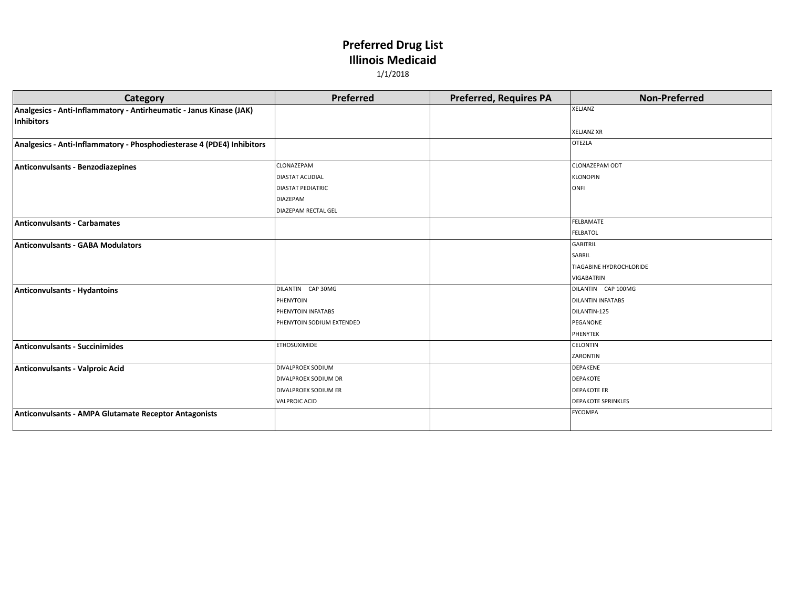| <b>Category</b>                                                        | <b>Preferred</b>          | <b>Preferred, Requires PA</b> | <b>Non-Preferred</b>      |
|------------------------------------------------------------------------|---------------------------|-------------------------------|---------------------------|
| Analgesics - Anti-Inflammatory - Antirheumatic - Janus Kinase (JAK)    |                           |                               | <b>XELJANZ</b>            |
| Inhibitors                                                             |                           |                               |                           |
|                                                                        |                           |                               | <b>XELJANZ XR</b>         |
| Analgesics - Anti-Inflammatory - Phosphodiesterase 4 (PDE4) Inhibitors |                           |                               | <b>OTEZLA</b>             |
|                                                                        |                           |                               |                           |
| Anticonvulsants - Benzodiazepines                                      | CLONAZEPAM                |                               | <b>CLONAZEPAM ODT</b>     |
|                                                                        | <b>DIASTAT ACUDIAL</b>    |                               | <b>KLONOPIN</b>           |
|                                                                        | <b>DIASTAT PEDIATRIC</b>  |                               | <b>ONFI</b>               |
|                                                                        | <b>DIAZEPAM</b>           |                               |                           |
|                                                                        | DIAZEPAM RECTAL GEL       |                               |                           |
| Anticonvulsants - Carbamates                                           |                           |                               | FELBAMATE                 |
|                                                                        |                           |                               | <b>FELBATOL</b>           |
| Anticonvulsants - GABA Modulators                                      |                           |                               | <b>GABITRIL</b>           |
|                                                                        |                           |                               | SABRIL                    |
|                                                                        |                           |                               | TIAGABINE HYDROCHLORIDE   |
|                                                                        |                           |                               | <b>VIGABATRIN</b>         |
| Anticonvulsants - Hydantoins                                           | DILANTIN CAP 30MG         |                               | DILANTIN CAP 100MG        |
|                                                                        | PHENYTOIN                 |                               | <b>DILANTIN INFATABS</b>  |
|                                                                        | PHENYTOIN INFATABS        |                               | DILANTIN-125              |
|                                                                        | PHENYTOIN SODIUM EXTENDED |                               | PEGANONE                  |
|                                                                        |                           |                               | PHENYTEK                  |
| <b>Anticonvulsants - Succinimides</b>                                  | <b>ETHOSUXIMIDE</b>       |                               | <b>CELONTIN</b>           |
|                                                                        |                           |                               | ZARONTIN                  |
| Anticonvulsants - Valproic Acid                                        | DIVALPROEX SODIUM         |                               | <b>DEPAKENE</b>           |
|                                                                        | DIVALPROEX SODIUM DR      |                               | <b>DEPAKOTE</b>           |
|                                                                        | DIVALPROEX SODIUM ER      |                               | <b>DEPAKOTE ER</b>        |
|                                                                        | <b>VALPROIC ACID</b>      |                               | <b>DEPAKOTE SPRINKLES</b> |
| Anticonvulsants - AMPA Glutamate Receptor Antagonists                  |                           |                               | <b>FYCOMPA</b>            |
|                                                                        |                           |                               |                           |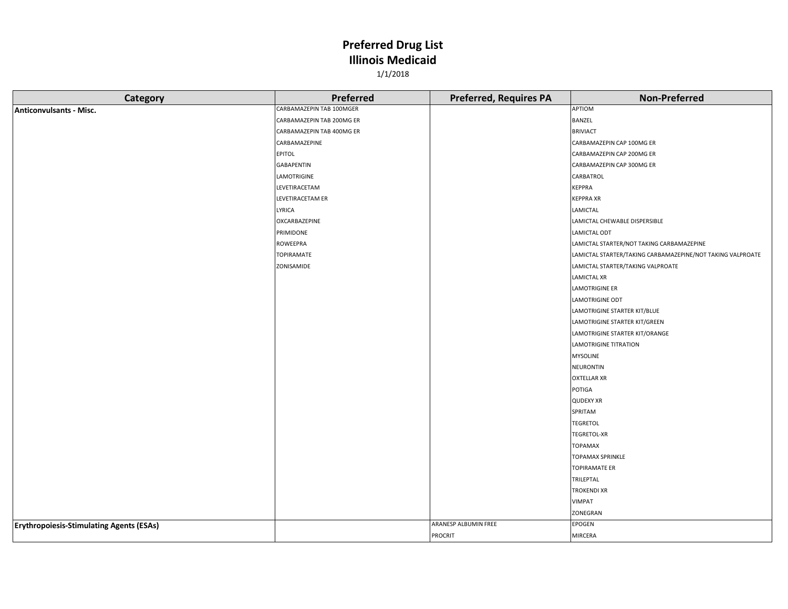| Category                                        | <b>Preferred</b>          | <b>Preferred, Requires PA</b> | <b>Non-Preferred</b>                                       |
|-------------------------------------------------|---------------------------|-------------------------------|------------------------------------------------------------|
| <b>Anticonvulsants - Misc.</b>                  | CARBAMAZEPIN TAB 100MGER  |                               | APTIOM                                                     |
|                                                 | CARBAMAZEPIN TAB 200MG ER |                               | <b>BANZEL</b>                                              |
|                                                 | CARBAMAZEPIN TAB 400MG ER |                               | <b>BRIVIACT</b>                                            |
|                                                 | CARBAMAZEPINE             |                               | CARBAMAZEPIN CAP 100MG ER                                  |
|                                                 | EPITOL                    |                               | CARBAMAZEPIN CAP 200MG ER                                  |
|                                                 | <b>GABAPENTIN</b>         |                               | CARBAMAZEPIN CAP 300MG ER                                  |
|                                                 | LAMOTRIGINE               |                               | CARBATROL                                                  |
|                                                 | LEVETIRACETAM             |                               | <b>KEPPRA</b>                                              |
|                                                 | LEVETIRACETAM ER          |                               | <b>KEPPRA XR</b>                                           |
|                                                 | LYRICA                    |                               | LAMICTAL                                                   |
|                                                 | OXCARBAZEPINE             |                               | LAMICTAL CHEWABLE DISPERSIBLE                              |
|                                                 | PRIMIDONE                 |                               | LAMICTAL ODT                                               |
|                                                 | ROWEEPRA                  |                               | LAMICTAL STARTER/NOT TAKING CARBAMAZEPINE                  |
|                                                 | <b>TOPIRAMATE</b>         |                               | LAMICTAL STARTER/TAKING CARBAMAZEPINE/NOT TAKING VALPROATE |
|                                                 | ZONISAMIDE                |                               | LAMICTAL STARTER/TAKING VALPROATE                          |
|                                                 |                           |                               | <b>LAMICTAL XR</b>                                         |
|                                                 |                           |                               | <b>LAMOTRIGINE ER</b>                                      |
|                                                 |                           |                               | <b>LAMOTRIGINE ODT</b>                                     |
|                                                 |                           |                               | LAMOTRIGINE STARTER KIT/BLUE                               |
|                                                 |                           |                               | LAMOTRIGINE STARTER KIT/GREEN                              |
|                                                 |                           |                               | LAMOTRIGINE STARTER KIT/ORANGE                             |
|                                                 |                           |                               | <b>LAMOTRIGINE TITRATION</b>                               |
|                                                 |                           |                               | <b>MYSOLINE</b>                                            |
|                                                 |                           |                               | <b>NEURONTIN</b>                                           |
|                                                 |                           |                               | <b>OXTELLAR XR</b>                                         |
|                                                 |                           |                               | POTIGA                                                     |
|                                                 |                           |                               | <b>QUDEXY XR</b>                                           |
|                                                 |                           |                               | SPRITAM                                                    |
|                                                 |                           |                               | <b>TEGRETOL</b>                                            |
|                                                 |                           |                               | <b>TEGRETOL-XR</b>                                         |
|                                                 |                           |                               | <b>TOPAMAX</b>                                             |
|                                                 |                           |                               | <b>TOPAMAX SPRINKLE</b>                                    |
|                                                 |                           |                               | <b>TOPIRAMATE ER</b>                                       |
|                                                 |                           |                               | TRILEPTAL                                                  |
|                                                 |                           |                               | <b>TROKENDI XR</b>                                         |
|                                                 |                           |                               | VIMPAT                                                     |
|                                                 |                           |                               | ZONEGRAN                                                   |
| <b>Erythropoiesis-Stimulating Agents (ESAs)</b> |                           | ARANESP ALBUMIN FREE          | EPOGEN                                                     |
|                                                 |                           | <b>PROCRIT</b>                | <b>MIRCERA</b>                                             |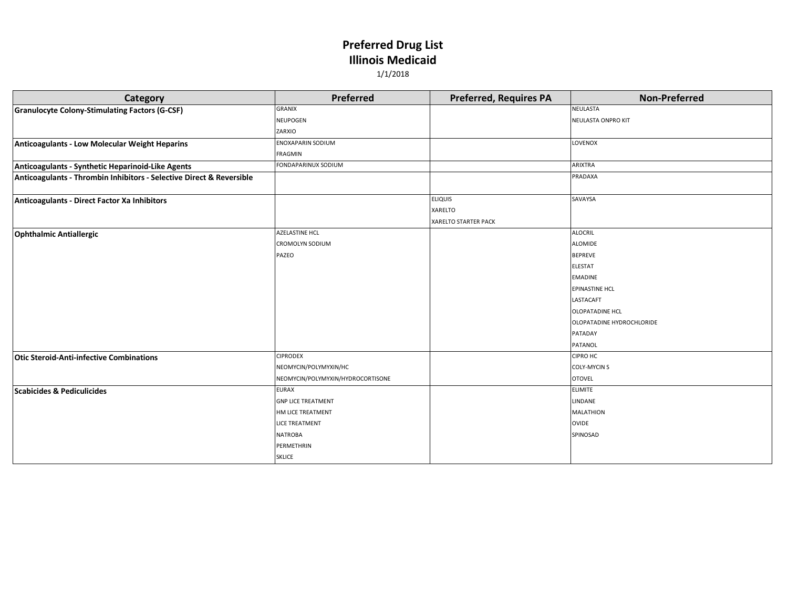| <b>Category</b>                                                      | <b>Preferred</b>                  | <b>Preferred, Requires PA</b> | <b>Non-Preferred</b>      |
|----------------------------------------------------------------------|-----------------------------------|-------------------------------|---------------------------|
| Granulocyte Colony-Stimulating Factors (G-CSF)                       | GRANIX                            |                               | <b>NEULASTA</b>           |
|                                                                      | NEUPOGEN                          |                               | NEULASTA ONPRO KIT        |
|                                                                      | ZARXIO                            |                               |                           |
| Anticoagulants - Low Molecular Weight Heparins                       | <b>ENOXAPARIN SODIUM</b>          |                               | LOVENOX                   |
|                                                                      | FRAGMIN                           |                               |                           |
| Anticoagulants - Synthetic Heparinoid-Like Agents                    | FONDAPARINUX SODIUM               |                               | ARIXTRA                   |
| Anticoagulants - Thrombin Inhibitors - Selective Direct & Reversible |                                   |                               | PRADAXA                   |
|                                                                      |                                   |                               |                           |
| Anticoagulants - Direct Factor Xa Inhibitors                         |                                   | <b>ELIQUIS</b>                | SAVAYSA                   |
|                                                                      |                                   | XARELTO                       |                           |
|                                                                      |                                   | <b>XARELTO STARTER PACK</b>   |                           |
| <b>Ophthalmic Antiallergic</b>                                       | AZELASTINE HCL                    |                               | <b>ALOCRIL</b>            |
|                                                                      | <b>CROMOLYN SODIUM</b>            |                               | <b>ALOMIDE</b>            |
|                                                                      | PAZEO                             |                               | <b>BEPREVE</b>            |
|                                                                      |                                   |                               | <b>ELESTAT</b>            |
|                                                                      |                                   |                               | <b>EMADINE</b>            |
|                                                                      |                                   |                               | <b>EPINASTINE HCL</b>     |
|                                                                      |                                   |                               | LASTACAFT                 |
|                                                                      |                                   |                               | <b>OLOPATADINE HCL</b>    |
|                                                                      |                                   |                               | OLOPATADINE HYDROCHLORIDE |
|                                                                      |                                   |                               | PATADAY                   |
|                                                                      |                                   |                               | PATANOL                   |
| <b>Otic Steroid-Anti-infective Combinations</b>                      | <b>CIPRODEX</b>                   |                               | <b>CIPRO HC</b>           |
|                                                                      | NEOMYCIN/POLYMYXIN/HC             |                               | <b>COLY-MYCIN S</b>       |
|                                                                      | NEOMYCIN/POLYMYXIN/HYDROCORTISONE |                               | <b>OTOVEL</b>             |
| <b>Scabicides &amp; Pediculicides</b>                                | <b>EURAX</b>                      |                               | <b>ELIMITE</b>            |
|                                                                      | <b>GNP LICE TREATMENT</b>         |                               | LINDANE                   |
|                                                                      | HM LICE TREATMENT                 |                               | <b>MALATHION</b>          |
|                                                                      | <b>LICE TREATMENT</b>             |                               | <b>OVIDE</b>              |
|                                                                      | <b>NATROBA</b>                    |                               | SPINOSAD                  |
|                                                                      | PERMETHRIN                        |                               |                           |
|                                                                      | <b>SKLICE</b>                     |                               |                           |